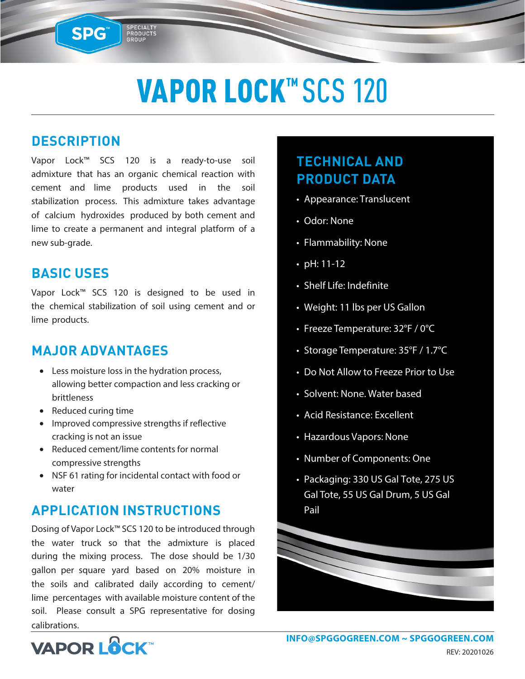## VAPOR LOCK™ SCS 120

### **DESCRIPTION**

SPG™

Vapor Lock™ SCS 120 is a ready-to-use soil admixture that has an organic chemical reaction with cement and lime products used in the soil stabilization process. This admixture takes advantage of calcium hydroxides produced by both cement and lime to create a permanent and integral platform of a new sub-grade.

SPECIALTY<br>PRODUCTS<br>GROUP

#### **BASIC USES**

Vapor Lock™ SCS 120 is designed to be used in the chemical stabilization of soil using cement and or lime products.

### **MAJOR ADVANTAGES**

- Less moisture loss in the hydration process, allowing better compaction and less cracking or brittleness
- Reduced curing time
- Improved compressive strengths if reflective cracking is not an issue
- Reduced cement/lime contents for normal compressive strengths
- NSF 61 rating for incidental contact with food or water

### **APPLICATION INSTRUCTIONS**

Dosing of Vapor Lock™ SCS 120 to be introduced through the water truck so that the admixture is placed during the mixing process. The dose should be 1/30 gallon per square yard based on 20% moisture in the soils and calibrated daily according to cement/ lime percentages with available moisture content of the soil. Please consult a SPG representative for dosing calibrations.

## **TECHNICAL AND PRODUCT DATA**

- Appearance: Translucent
- Odor: None
- Flammability: None
- pH: 11-12
- Shelf Life: Indefinite
- Weight: 11 lbs per US Gallon
- Freeze Temperature: 32°F / 0°C
- Storage Temperature: 35°F / 1.7°C
- Do Not Allow to Freeze Prior to Use
- Solvent: None. Water based
- Acid Resistance: Excellent
- Hazardous Vapors: None
- Number of Components: One
- Packaging: 330 US Gal Tote, 275 US Gal Tote, 55 US Gal Drum, 5 US Gal Pail